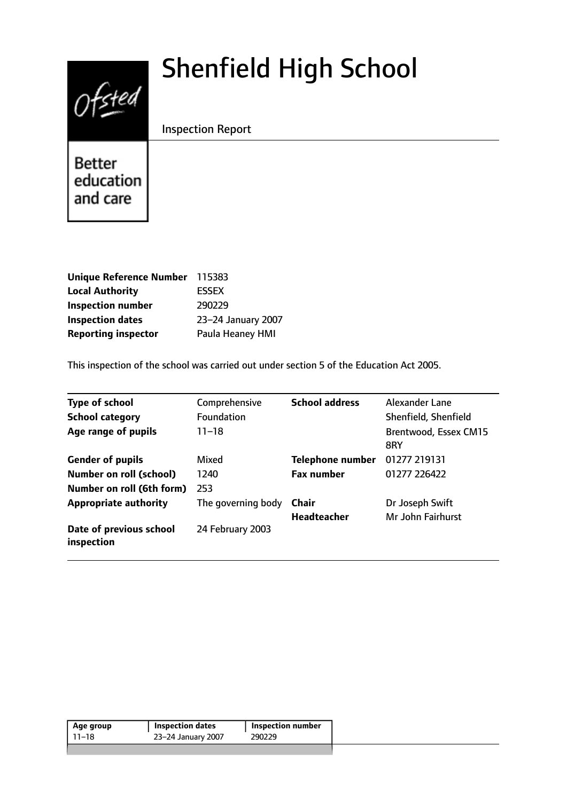# Shenfield High School



Inspection Report

**Better** education and care

| Unique Reference Number 115383 |                    |
|--------------------------------|--------------------|
| <b>Local Authority</b>         | <b>ESSEX</b>       |
| <b>Inspection number</b>       | 290229             |
| <b>Inspection dates</b>        | 23-24 January 2007 |
| <b>Reporting inspector</b>     | Paula Heaney HMI   |

This inspection of the school was carried out under section 5 of the Education Act 2005.

| <b>Type of school</b>                 | Comprehensive      | <b>School address</b>   | Alexander Lane               |
|---------------------------------------|--------------------|-------------------------|------------------------------|
| <b>School category</b>                | <b>Foundation</b>  |                         | Shenfield, Shenfield         |
| Age range of pupils                   | $11 - 18$          |                         | Brentwood, Essex CM15<br>8RY |
| <b>Gender of pupils</b>               | Mixed              | <b>Telephone number</b> | 01277 219131                 |
| <b>Number on roll (school)</b>        | 1240               | <b>Fax number</b>       | 01277 226422                 |
| Number on roll (6th form)             | 253                |                         |                              |
| <b>Appropriate authority</b>          | The governing body | Chair                   | Dr Joseph Swift              |
|                                       |                    | <b>Headteacher</b>      | Mr John Fairhurst            |
| Date of previous school<br>inspection | 24 February 2003   |                         |                              |

| 23-24 January 2007<br>11–18<br>290229 | Age group | <b>Inspection dates</b> | Inspection number |  |
|---------------------------------------|-----------|-------------------------|-------------------|--|
|                                       |           |                         |                   |  |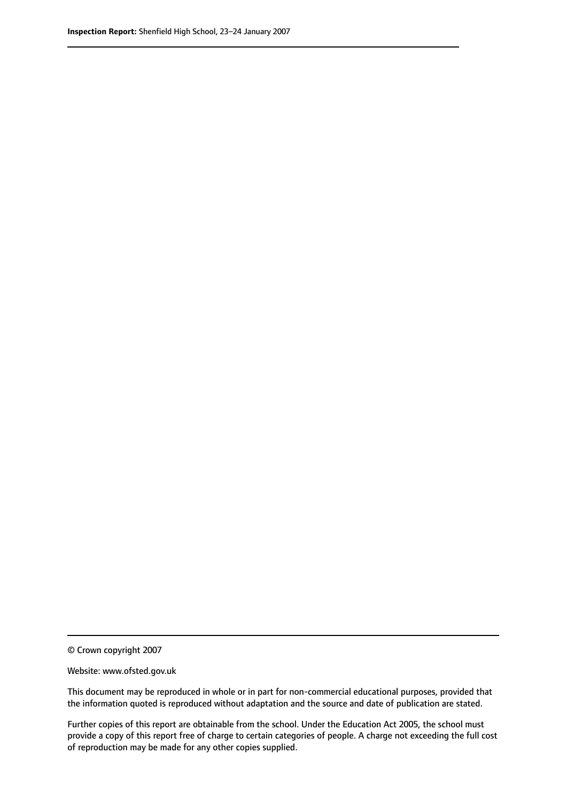© Crown copyright 2007

Website: www.ofsted.gov.uk

This document may be reproduced in whole or in part for non-commercial educational purposes, provided that the information quoted is reproduced without adaptation and the source and date of publication are stated.

Further copies of this report are obtainable from the school. Under the Education Act 2005, the school must provide a copy of this report free of charge to certain categories of people. A charge not exceeding the full cost of reproduction may be made for any other copies supplied.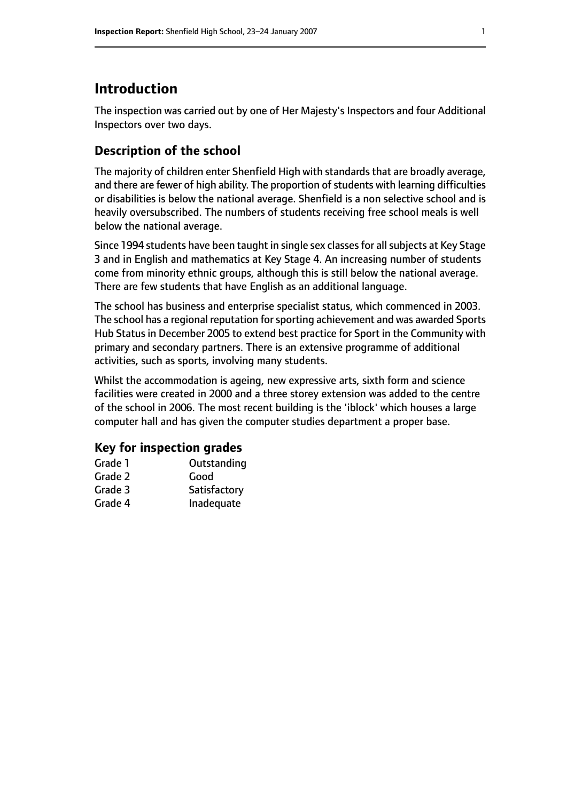# **Introduction**

The inspection was carried out by one of Her Majesty's Inspectors and four Additional Inspectors over two days.

# **Description of the school**

The majority of children enter Shenfield High with standards that are broadly average, and there are fewer of high ability. The proportion of students with learning difficulties or disabilities is below the national average. Shenfield is a non selective school and is heavily oversubscribed. The numbers of students receiving free school meals is well below the national average.

Since 1994 students have been taught in single sex classes for all subjects at Key Stage 3 and in English and mathematics at Key Stage 4. An increasing number of students come from minority ethnic groups, although this is still below the national average. There are few students that have English as an additional language.

The school has business and enterprise specialist status, which commenced in 2003. The school has a regional reputation for sporting achievement and was awarded Sports Hub Status in December 2005 to extend best practice for Sport in the Community with primary and secondary partners. There is an extensive programme of additional activities, such as sports, involving many students.

Whilst the accommodation is ageing, new expressive arts, sixth form and science facilities were created in 2000 and a three storey extension was added to the centre of the school in 2006. The most recent building is the 'iblock' which houses a large computer hall and has given the computer studies department a proper base.

#### **Key for inspection grades**

| Grade 1 | Outstanding  |
|---------|--------------|
| Grade 2 | Good         |
| Grade 3 | Satisfactory |
| Grade 4 | Inadequate   |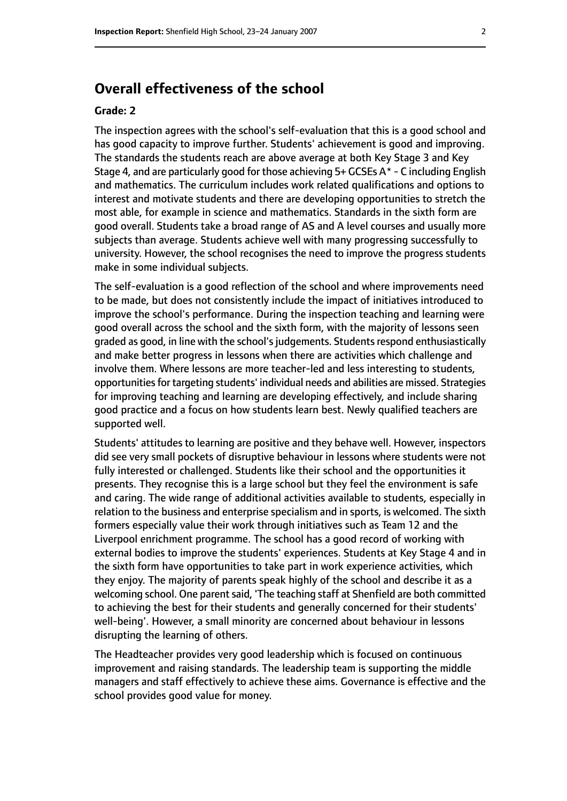# **Overall effectiveness of the school**

#### **Grade: 2**

The inspection agrees with the school's self-evaluation that this is a good school and has good capacity to improve further. Students' achievement is good and improving. The standards the students reach are above average at both Key Stage 3 and Key Stage 4, and are particularly good for those achieving  $5+$  GCSEs A $*$  - C including English and mathematics. The curriculum includes work related qualifications and options to interest and motivate students and there are developing opportunities to stretch the most able, for example in science and mathematics. Standards in the sixth form are good overall. Students take a broad range of AS and A level courses and usually more subjects than average. Students achieve well with many progressing successfully to university. However, the school recognises the need to improve the progress students make in some individual subjects.

The self-evaluation is a good reflection of the school and where improvements need to be made, but does not consistently include the impact of initiatives introduced to improve the school's performance. During the inspection teaching and learning were good overall across the school and the sixth form, with the majority of lessons seen graded as good, in line with the school's judgements. Students respond enthusiastically and make better progress in lessons when there are activities which challenge and involve them. Where lessons are more teacher-led and less interesting to students, opportunities for targeting students' individual needs and abilities are missed. Strategies for improving teaching and learning are developing effectively, and include sharing good practice and a focus on how students learn best. Newly qualified teachers are supported well.

Students' attitudes to learning are positive and they behave well. However, inspectors did see very small pockets of disruptive behaviour in lessons where students were not fully interested or challenged. Students like their school and the opportunities it presents. They recognise this is a large school but they feel the environment is safe and caring. The wide range of additional activities available to students, especially in relation to the business and enterprise specialism and in sports, is welcomed. The sixth formers especially value their work through initiatives such as Team 12 and the Liverpool enrichment programme. The school has a good record of working with external bodies to improve the students' experiences. Students at Key Stage 4 and in the sixth form have opportunities to take part in work experience activities, which they enjoy. The majority of parents speak highly of the school and describe it as a welcoming school. One parent said, 'The teaching staff at Shenfield are both committed to achieving the best for their students and generally concerned for their students' well-being'. However, a small minority are concerned about behaviour in lessons disrupting the learning of others.

The Headteacher provides very good leadership which is focused on continuous improvement and raising standards. The leadership team is supporting the middle managers and staff effectively to achieve these aims. Governance is effective and the school provides good value for money.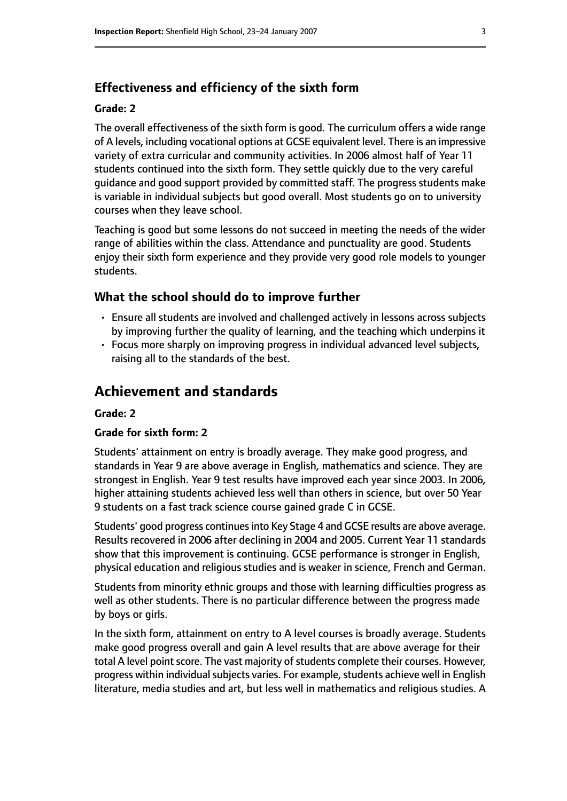#### **Effectiveness and efficiency of the sixth form**

#### **Grade: 2**

The overall effectiveness of the sixth form is good. The curriculum offers a wide range of A levels, including vocational options at GCSE equivalent level. There is an impressive variety of extra curricular and community activities. In 2006 almost half of Year 11 students continued into the sixth form. They settle quickly due to the very careful guidance and good support provided by committed staff. The progress students make is variable in individual subjects but good overall. Most students go on to university courses when they leave school.

Teaching is good but some lessons do not succeed in meeting the needs of the wider range of abilities within the class. Attendance and punctuality are good. Students enjoy their sixth form experience and they provide very good role models to younger students.

#### **What the school should do to improve further**

- Ensure all students are involved and challenged actively in lessons across subjects by improving further the quality of learning, and the teaching which underpins it
- Focus more sharply on improving progress in individual advanced level subjects, raising all to the standards of the best.

## **Achievement and standards**

#### **Grade: 2**

#### **Grade for sixth form: 2**

Students' attainment on entry is broadly average. They make good progress, and standards in Year 9 are above average in English, mathematics and science. They are strongest in English. Year 9 test results have improved each year since 2003. In 2006, higher attaining students achieved less well than others in science, but over 50 Year 9 students on a fast track science course gained grade C in GCSE.

Students' good progress continues into Key Stage 4 and GCSE results are above average. Results recovered in 2006 after declining in 2004 and 2005. Current Year 11 standards show that this improvement is continuing. GCSE performance is stronger in English, physical education and religious studies and is weaker in science, French and German.

Students from minority ethnic groups and those with learning difficulties progress as well as other students. There is no particular difference between the progress made by boys or girls.

In the sixth form, attainment on entry to A level courses is broadly average. Students make good progress overall and gain A level results that are above average for their total A level point score. The vast majority of students complete their courses. However, progress within individual subjects varies. For example, students achieve well in English literature, media studies and art, but less well in mathematics and religious studies. A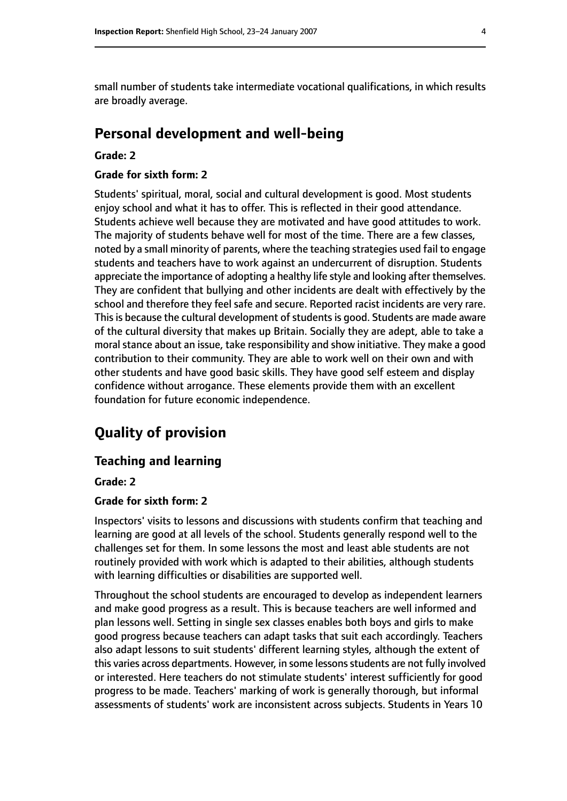small number of students take intermediate vocational qualifications, in which results are broadly average.

## **Personal development and well-being**

#### **Grade: 2**

#### **Grade for sixth form: 2**

Students' spiritual, moral, social and cultural development is good. Most students enjoy school and what it has to offer. This is reflected in their good attendance. Students achieve well because they are motivated and have good attitudes to work. The majority of students behave well for most of the time. There are a few classes, noted by a small minority of parents, where the teaching strategies used fail to engage students and teachers have to work against an undercurrent of disruption. Students appreciate the importance of adopting a healthy life style and looking after themselves. They are confident that bullying and other incidents are dealt with effectively by the school and therefore they feel safe and secure. Reported racist incidents are very rare. This is because the cultural development of students is good. Students are made aware of the cultural diversity that makes up Britain. Socially they are adept, able to take a moral stance about an issue, take responsibility and show initiative. They make a good contribution to their community. They are able to work well on their own and with other students and have good basic skills. They have good self esteem and display confidence without arrogance. These elements provide them with an excellent foundation for future economic independence.

# **Quality of provision**

#### **Teaching and learning**

#### **Grade: 2**

#### **Grade for sixth form: 2**

Inspectors' visits to lessons and discussions with students confirm that teaching and learning are good at all levels of the school. Students generally respond well to the challenges set for them. In some lessons the most and least able students are not routinely provided with work which is adapted to their abilities, although students with learning difficulties or disabilities are supported well.

Throughout the school students are encouraged to develop as independent learners and make good progress as a result. This is because teachers are well informed and plan lessons well. Setting in single sex classes enables both boys and girls to make good progress because teachers can adapt tasks that suit each accordingly. Teachers also adapt lessons to suit students' different learning styles, although the extent of this varies across departments. However, in some lessons students are not fully involved or interested. Here teachers do not stimulate students' interest sufficiently for good progress to be made. Teachers' marking of work is generally thorough, but informal assessments of students' work are inconsistent across subjects. Students in Years 10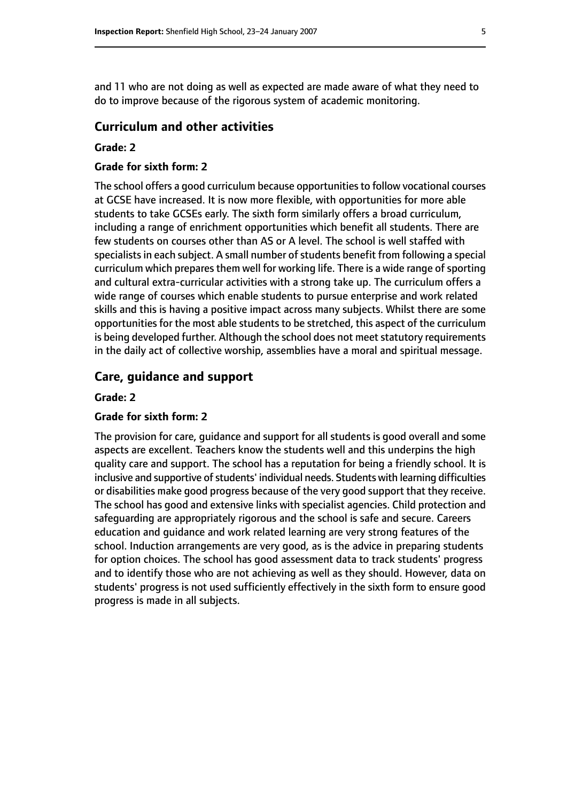and 11 who are not doing as well as expected are made aware of what they need to do to improve because of the rigorous system of academic monitoring.

#### **Curriculum and other activities**

#### **Grade: 2**

#### **Grade for sixth form: 2**

The school offers a good curriculum because opportunitiesto follow vocational courses at GCSE have increased. It is now more flexible, with opportunities for more able students to take GCSEs early. The sixth form similarly offers a broad curriculum, including a range of enrichment opportunities which benefit all students. There are few students on courses other than AS or A level. The school is well staffed with specialists in each subject. A small number of students benefit from following a special curriculum which prepares them well for working life. There is a wide range of sporting and cultural extra-curricular activities with a strong take up. The curriculum offers a wide range of courses which enable students to pursue enterprise and work related skills and this is having a positive impact across many subjects. Whilst there are some opportunities for the most able students to be stretched, this aspect of the curriculum is being developed further. Although the school does not meet statutory requirements in the daily act of collective worship, assemblies have a moral and spiritual message.

#### **Care, guidance and support**

#### **Grade: 2**

#### **Grade for sixth form: 2**

The provision for care, guidance and support for all students is good overall and some aspects are excellent. Teachers know the students well and this underpins the high quality care and support. The school has a reputation for being a friendly school. It is inclusive and supportive of students' individual needs. Students with learning difficulties or disabilities make good progress because of the very good support that they receive. The school has good and extensive links with specialist agencies. Child protection and safeguarding are appropriately rigorous and the school is safe and secure. Careers education and guidance and work related learning are very strong features of the school. Induction arrangements are very good, as is the advice in preparing students for option choices. The school has good assessment data to track students' progress and to identify those who are not achieving as well as they should. However, data on students' progress is not used sufficiently effectively in the sixth form to ensure good progress is made in all subjects.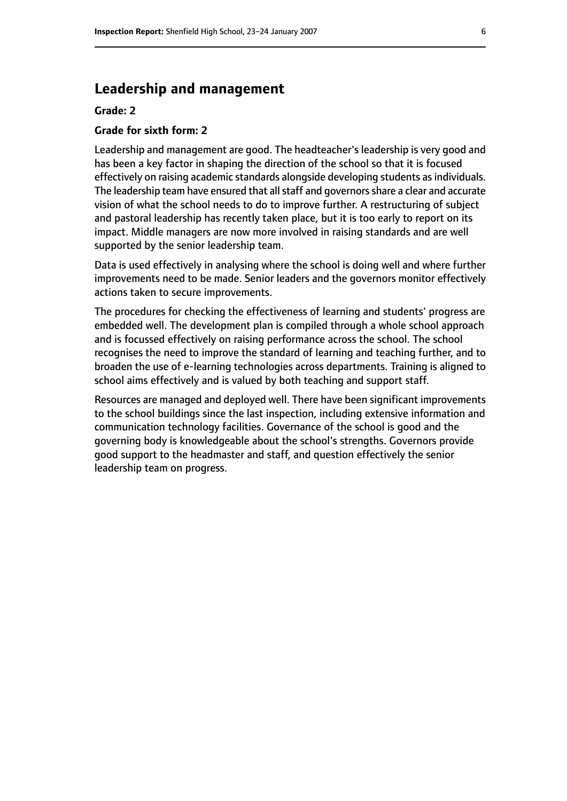### **Leadership and management**

#### **Grade: 2**

#### **Grade for sixth form: 2**

Leadership and management are good. The headteacher's leadership is very good and has been a key factor in shaping the direction of the school so that it is focused effectively on raising academic standards alongside developing students as individuals. The leadership team have ensured that all staff and governors share a clear and accurate vision of what the school needs to do to improve further. A restructuring of subject and pastoral leadership has recently taken place, but it is too early to report on its impact. Middle managers are now more involved in raising standards and are well supported by the senior leadership team.

Data is used effectively in analysing where the school is doing well and where further improvements need to be made. Senior leaders and the governors monitor effectively actions taken to secure improvements.

The procedures for checking the effectiveness of learning and students' progress are embedded well. The development plan is compiled through a whole school approach and is focussed effectively on raising performance across the school. The school recognises the need to improve the standard of learning and teaching further, and to broaden the use of e-learning technologies across departments. Training is aligned to school aims effectively and is valued by both teaching and support staff.

Resources are managed and deployed well. There have been significant improvements to the school buildings since the last inspection, including extensive information and communication technology facilities. Governance of the school is good and the governing body is knowledgeable about the school's strengths. Governors provide good support to the headmaster and staff, and question effectively the senior leadership team on progress.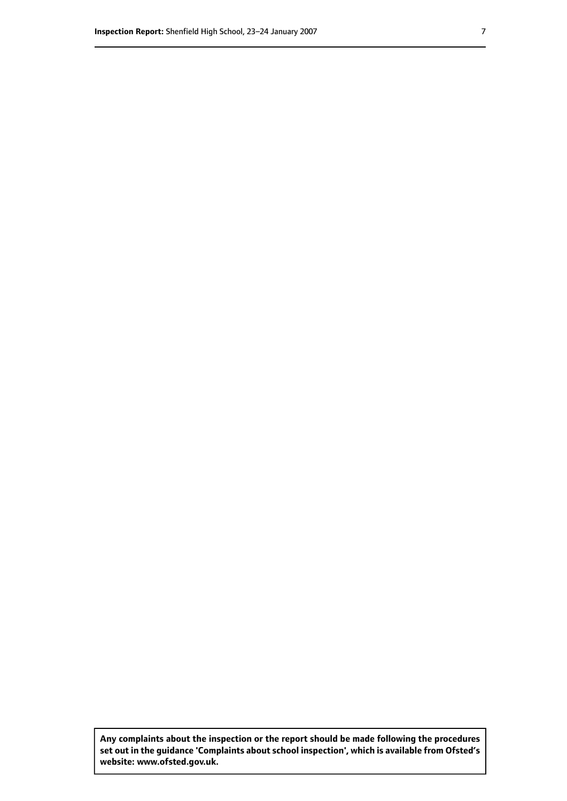**Any complaints about the inspection or the report should be made following the procedures set out inthe guidance 'Complaints about school inspection', whichis available from Ofsted's website: www.ofsted.gov.uk.**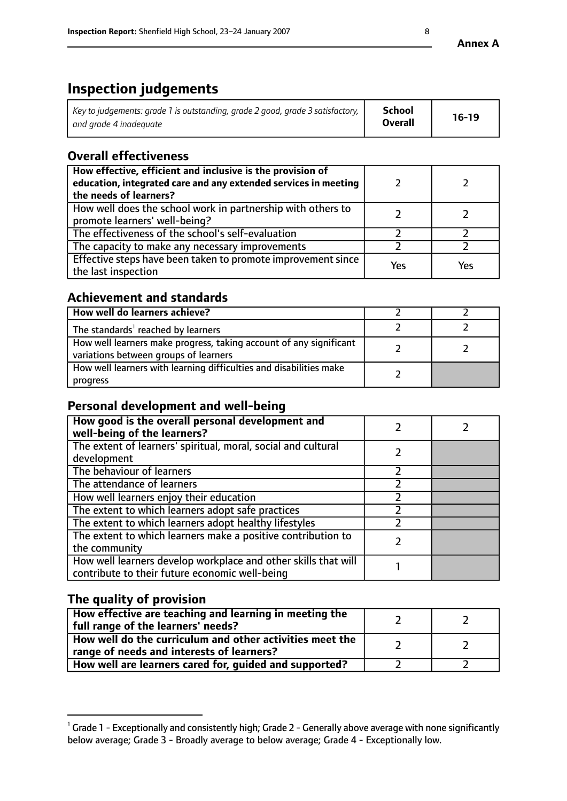# **Inspection judgements**

| Key to judgements: grade 1 is outstanding, grade 2 good, grade 3 satisfactory, $\mid$ | <b>School</b>  | $16-19$ |
|---------------------------------------------------------------------------------------|----------------|---------|
| and grade 4 inadeguate                                                                | <b>Overall</b> |         |

# **Overall effectiveness**

| How effective, efficient and inclusive is the provision of<br>education, integrated care and any extended services in meeting<br>the needs of learners? |     |     |
|---------------------------------------------------------------------------------------------------------------------------------------------------------|-----|-----|
| How well does the school work in partnership with others to<br>promote learners' well-being?                                                            |     |     |
| The effectiveness of the school's self-evaluation                                                                                                       |     |     |
| The capacity to make any necessary improvements                                                                                                         |     |     |
| Effective steps have been taken to promote improvement since<br>the last inspection                                                                     | Yes | Yes |

# **Achievement and standards**

| How well do learners achieve?                                                                               |  |
|-------------------------------------------------------------------------------------------------------------|--|
| The standards <sup>1</sup> reached by learners                                                              |  |
| How well learners make progress, taking account of any significant<br>variations between groups of learners |  |
| How well learners with learning difficulties and disabilities make<br>progress                              |  |

## **Personal development and well-being**

| How good is the overall personal development and<br>well-being of the learners?                                  |  |
|------------------------------------------------------------------------------------------------------------------|--|
| The extent of learners' spiritual, moral, social and cultural<br>development                                     |  |
| The behaviour of learners                                                                                        |  |
| The attendance of learners                                                                                       |  |
| How well learners enjoy their education                                                                          |  |
| The extent to which learners adopt safe practices                                                                |  |
| The extent to which learners adopt healthy lifestyles                                                            |  |
| The extent to which learners make a positive contribution to<br>the community                                    |  |
| How well learners develop workplace and other skills that will<br>contribute to their future economic well-being |  |

# **The quality of provision**

| How effective are teaching and learning in meeting the<br>full range of the learners' needs?          |  |
|-------------------------------------------------------------------------------------------------------|--|
| How well do the curriculum and other activities meet the<br>range of needs and interests of learners? |  |
| How well are learners cared for, guided and supported?                                                |  |

 $^1$  Grade 1 - Exceptionally and consistently high; Grade 2 - Generally above average with none significantly below average; Grade 3 - Broadly average to below average; Grade 4 - Exceptionally low.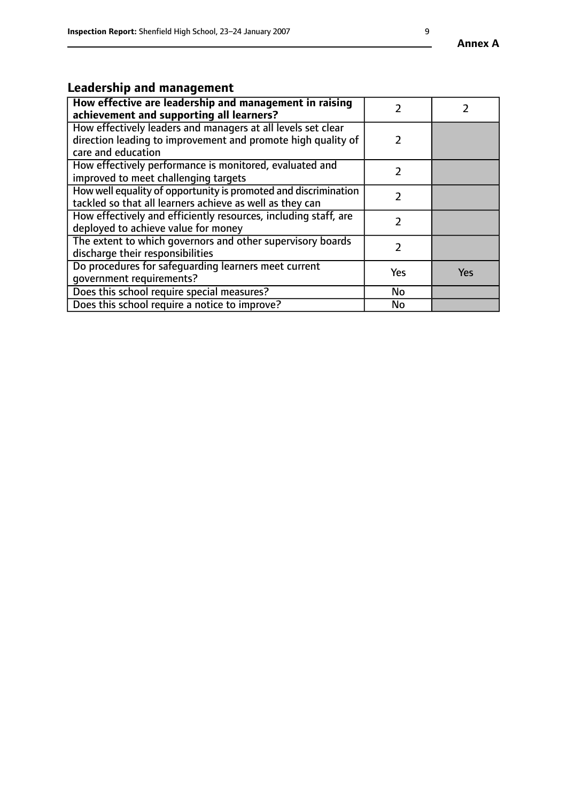# **Leadership and management**

| How effective are leadership and management in raising<br>achievement and supporting all learners?                                                 |               |     |
|----------------------------------------------------------------------------------------------------------------------------------------------------|---------------|-----|
| How effectively leaders and managers at all levels set clear<br>direction leading to improvement and promote high quality of<br>care and education | $\mathcal{L}$ |     |
| How effectively performance is monitored, evaluated and<br>improved to meet challenging targets                                                    |               |     |
| How well equality of opportunity is promoted and discrimination<br>tackled so that all learners achieve as well as they can                        |               |     |
| How effectively and efficiently resources, including staff, are<br>deployed to achieve value for money                                             |               |     |
| The extent to which governors and other supervisory boards<br>discharge their responsibilities                                                     |               |     |
| Do procedures for safequarding learners meet current<br>qovernment requirements?                                                                   | Yes           | Yes |
| Does this school require special measures?                                                                                                         | No            |     |
| Does this school require a notice to improve?                                                                                                      | No            |     |